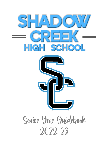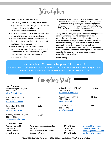

# Did you know that School Counselors...

- are actively committed to helping students explore their abilities, strengths, interests and talents as these traits relate to career awareness and development?
- partner with parents to further the education, personal and social growth of students?
- work with teachers and other educators to help students explore their potential and set realistic goals for themselves?
- seek to identify and utilize community resources that can enhance and compliment comprehensive school counseling programs and help students become productive members of society?

The mission of the Counseling Staff at Shadow Creek High School is to empower all learners to lead satisfying and productive lives by assisting them in identifying and achieving educational, career, personal and social goals. This involves a cooperative effort among students, staff members, parents and the community.

This guide was designed specifically to assist high school seniors moving into the next chapter of life. It was created with all the hope and excitement that comes from applying to college or technical school, joining the military or entering the work force. With so much to accomplish in this final year of high school, our expectation is that you will read through this guidebook now, and then plan to revisit it throughout the school year; consider it a place to come for advice when your counselor is not available.

Finish strong!

# Can a School Counselor help you? Absolutely!

Comprehensive school counseling programs like the one at SCHS are considered an integral part of the educational process that enables all student to achieve success in school.

Counseling Staff

| <b>Lead Counselor</b><br>Vincincia Wright, MEd, CSC<br>281-245-3827<br>adixon@alvinisd.net |                                                                                                             | Vivian Alexander, MEd, CSC<br>281-245-3824<br>valexander@alvinisd.net | Jor-Ngu                                                                                               |
|--------------------------------------------------------------------------------------------|-------------------------------------------------------------------------------------------------------------|-----------------------------------------------------------------------|-------------------------------------------------------------------------------------------------------|
| Kristin Harris, MEd, CSC<br>281-245-3814<br>kaharris@alvinisd.net                          | A-Be                                                                                                        | Ashley Burns, MEd, CSC<br>281-245-3828<br>aburns@alvinisd.net         | Ni-Sim                                                                                                |
| Carlene Leal, MEd. CSC<br>281-245-3825<br>vwright@alvinisd.net                             | <b>Bh-En</b>                                                                                                | LaTynia Clay, MA, CSC<br>281-245-3826<br>Iclay@alvinisd.net           | Sin-Z                                                                                                 |
| Kimberly Johnson, MEd, CSC<br>281-245-3822<br>kmjohnson@alvinisd.net                       | Ep-Jon                                                                                                      |                                                                       |                                                                                                       |
| <b>ADDITIONAL STAFF</b>                                                                    |                                                                                                             |                                                                       |                                                                                                       |
| Vanessa McDonald<br>Rita Guerra<br>Dameria Boston<br>Ashley Dickerson                      | <b>Advanced Academics Specialist</b><br>Registrar<br><b>ACC Dual Enrollment Advisor</b><br>Counseling Clerk | 281-245-3857<br>281-245-3830<br>281-245-3820<br>281-245-3815          | vmcdonald@alvinisd.net<br>rguerra@alvinisd.net<br>dboston@alvincollege.edu<br>adickerson@alvinisd.net |

To schedule an appointment with a counselor, please call 281-245-3815.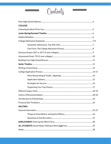

| <b>COLLEGE:</b>  |  |
|------------------|--|
|                  |  |
|                  |  |
|                  |  |
|                  |  |
|                  |  |
|                  |  |
|                  |  |
|                  |  |
|                  |  |
|                  |  |
|                  |  |
|                  |  |
|                  |  |
|                  |  |
|                  |  |
|                  |  |
|                  |  |
|                  |  |
|                  |  |
|                  |  |
| <b>MILITARY:</b> |  |
|                  |  |
|                  |  |
|                  |  |
|                  |  |
|                  |  |
|                  |  |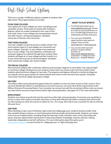# Post-High School Options

There are a number of different options available to students after high school. These opportunities can include:

# FOUR-YEAR COLLEGES

Your options for 4-year colleges are many, including private and public schools. These types of schools offer bachelor's degrees, which are usually completed in four years of fulltime study. Some 4-year colleges also have graduate schools that offer master's and doctoral degrees. Examples: University of Houston, Rice University

# TWO-YEAR COLLEGES

Two-year colleges can also be private or public schools. The most common types of 2-yearcolleges are community and junior colleges. Typically a 2-year college is less expensive than a 4-year college. Two-year diplomas, certificates and associate's degrees are offered through these schools. Many students will begin at a 2-year college and then transfer to a 4-year university to pursue an advanced degree. Examples: Alvin Community College, San Jacinto College

# WANT TO PLAY SPORTS?

- For NCAA information, go to [www.eligibilitycenter.org.](http://www.eligibilitycenter.org/) Choose to create an account (Division I or II) or a Profile Page (Division III or Undecided) and follow directions.
- For even more AMAZING opportunities to play sports in college! Check out the [www.naia.org](http://www.naia.org/) o[r www.njcaa.org.](http://www.njcaa.org/)
- You can also check out each division's student-athlete brochure at <http://www.alvinisd.net/schs> > Counselors > College & Career Resources > Student Athletes

# TECHNICAL COLLEGES

Most technical colleges offer certificates, diplomas and associate's degrees in many fields. Your typical length at a technical college will depend on your program choice and if you choose to be a full-time student. Most students attend technical colleges for two years. The programs and degrees offered at a technical college are very specific and are great options for those students who want to enter the work force quickly. *Examples:* Texas State Technical College, Brazosport College

# **MILITARY**

The military offers many educational opportunities for students in return for their service to their country. Once you have decided the military is something you may want to pursue, you must meet all the requirements at the Military Entrance Processing Station. Your counselor can connect you with the recruitment officers who can ensure you meet all the necessary requirements before high school graduation. *See pages 25-27 for more information.* 

# EMPLOYMENT

Students may choose to go directly into the work force after high school graduation. If you know you would like to pursue a career that requires no further education, or have been offered a job within a company that will provide you the training you need, this may be an option for you. Turn to pg. 28 or talk to your counselor for tips on entering the work force.

# GAP YEAR

When deciding to take a year off between high school and college (gap year), students should consider what they would be doing to advance or enrich themselves both personally and professionally. Students can choose from an array of opportunities, including things like learning a trade, volunteer work, travel, internships and sports. Gap year opportunities should assist in improving students' knowledge, maturity, decision-making, leadership, independence and self-sufficiency. For more information about this option, go to [www.americangap.org](http://www.americangap.org/) or search online for 'college gap year' or 'high school gap year'.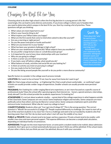Choosing the Best Fit for You

Choosing what to do after high school is often the first big decision in a young person's life. Not surprisingly, this can lead to some distress and anxiety. If you know college is where you're headed, then you need to determine which campus is the best fit for you. Start by creating a list of priorities. These questions will get you thinking:

- What values are most important to you?
- What is your favorite thing to do?
- What inspires you? What makes you happy?
- What are the first words that come to mind when asked to describe yourself?
- Are you a morning or night person?
- Do you like peace and quiet or hustle and bustle?
- What are you known for in your family?
- What has been your greatest challenge in high school?
- What are your weaknesses academically? What subjects have you excelled in?
- Do you prefer a large lecture class or a small discussion group?
- Is it important for you to have close relationships with your teachers?
- Why are you going to college?
- Is there a career you are intent on pursuing?
- If you took a year off before college, what would you do?
- What balance of study, activities and social life are you looking for?
- Is there an activity you insist on pursuing in college?
- Are you ready to live far from home?
- Do you like being around people like yourself or do you prefer a more diverse community?

Specific factors to consider in the college search process include:

LOCATION: Do I want to live at home? If not, how far away from home do I want to go?

SIZE: Do I find a large school exciting – or frightening? Do I find a small school comfortable – or confining? Larger schools can usually provide a wider range of experiences. Smaller schools can usually provide more personal support.

PROGRAMS: Am I looking for a wide-ranging liberal arts experience, or am I more focused on a specific course of professional study? Does the school offer special programs that interest me – honors, special seminars, internships, study abroad? Can this school provide the academic experiences I'm looking for?

ATMOSPHERE: It's not just about academic studies – a great deal of the college experience is what happens outside of the classroom. Some campuses are very social. Some emphasize religion and morality. Some campuses are more politically active than others and may be liberal or conservative. Some campuses emphasize sports and other extracurricular involvement. What vibe do I want my college to have?

COMPETITIVENESS: Students often ask "Can I get into [College X]?" This is the wrong question. The correct question is "Would I be successful in [College X]?" People respond differently to challenge. Do I want to start off as one of the smartest students in my class? Do I rise to a challenge and seek to be surrounded by students who find learning easier than I do? Do I do my best work when I start off near the middle of my class?

PUBLIC or PRIVATE: Public schools tend to be larger and less expensive. Private schools tend to be smaller, with smaller class sizes and more personal support. The expense difference can become a complicated calculation, depending on individual family circumstances.

ADMISSIONS: Though not the most important factor, at some point a student needs to be realistic about admission standards. Don't give up on a school automatically because you don't think you will be admitted. If the school meets all your other criteria, but you think you won't be admitted, discuss it with your counselor.

# Search Tip

Think about the "why" for each of your answers. Example: "I'm a morning person."… WHY do you like mornings best? Actually write out your responses to the questions: distinguish between wants and needs; notice the trends in your responses. Then, search for schools that match those priorities.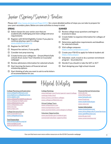# Junior (Spring/Summer) Timeline

Please visi[t http://www.alvinisd.net/Page/25911](http://www.alvinisd.net/Page/25911) for a more detailed outline of steps you can take to prepare for your post-secondary plans. Below are some activities to keep in mind:

### SPRING

- $\square$  Select classes for your senior year that are academically challenging and meet college entrance requirements
- $\Box$  Register with NCAA Eligibility Center if you plan to continue playing a sport in college [www.eligibilitycenter.org](http://www.eligibilitycenter.org/)
- □ Register for SAT/ACT
- $\Box$  Request fee waivers, if you qualify
- $\square$  Consider test prep tutoring
- $\Box$  Create/revise your college list Dream/Match/Safe schools (from Junior Year Checklist on Counselor webpage)
- $\Box$  Review admissions information for selected schools
- $\Box$  Start learning the basics of financial aid and scholarship options
- $\Box$  Start thinking of who you want to ask to write letters of recommendation for you

# **SUMMER**

- $\Box$  Review college essay questions and begin to brainstorm ideas
- $\Box$  Create folder to organize information for colleges of interest
- $\Box$  Determine application requirements and deadlines for selected schools
- $\Box$  Visit college campuses <https://www.campustours.com/>
- $\Box$  Create your FSA ID to apply for federal student aid <https://fafsa.ed.gov/>
- $\Box$  Volunteer, work, travel or do a summer enrichment program – be productive
- $\Box$  Decide if you should re-take the SAT or ACT
- $\Box$  Start designing your high school résumé

## College Planning and Exploration

[www.collegeforalltexans.com](http://www.collegeforalltexans.com/) [www.bigfuture.collegeboard.org](http://www.bigfuture.collegeboard.org/) [www.cappex.com](http://www.cappex.com/) [www.collegeaffordabilityguide.org](http://www.collegeaffordabilityguide.org/) [www.collegegreenlight.com/](http://www.collegegreenlight.com/) [www.collegexpress.com](http://www.collegexpress.com/) [www.collegedata.com](http://www.collegedata.com/) [www.ctcl.org](http://www.ctcl.org/) [www.unigo.com](http://www.unigo.com/)

#### College Entrance Exams

[www.actstudent.org](http://www.actstudent.org/) [www.collegeboard.org](http://www.collegeboard.org/)

#### Test Preparation

[www.khanacademy.org/sat](http://www.khanacademy.org/sat) [www.number2.com](http://www.number2.com/) [www.prepfactory.com](http://www.prepfactory.com/)

# Helpful Websites

#### College Rankings

[www.kiplinger.com/fronts/special-report/college](http://www.kiplinger.com/fronts/special-report/college-rankings/index.html)[rankings/index.html](http://www.kiplinger.com/fronts/special-report/college-rankings/index.html) [www.usnews.com/best-colleges](https://www.usnews.com/best-colleges) [www.collegeconfidential.com](http://www.collegeconfidential.com/)

#### Virtual College Tours

[www.campustours.com](http://www.campustours.com/) [www.ecampustours.com/](http://www.ecampustours.com/) [www.youniversitytv.com/category/college/](https://www.youniversitytv.com/category/college/)

#### Volunteer Opportunities

[www.pearlandtx.gov/residents/get](https://www.pearlandtx.gov/residents/get-connected/volunteer-opportunities)[connected/volunteer-opportunities](https://www.pearlandtx.gov/residents/get-connected/volunteer-opportunities)

#### Financial Aid and Scholarships

[www.aie.org](http://www.aie.org/) [www.fafsa.ed.gov](http://www.fafsa.ed.gov/) [www.fastweb.com](http://www.fastweb.com/) [www.finaid.org](http://www.finaid.org/) [www.studentaid.ed.gov](http://www.studentaid.ed.gov/) [www.raise.me/](http://www.raise.me/)

#### Career Information

[www.mynextmove.org/](http://www.mynextmove.org/) [www.alvincollege.edu/CareerServices/](http://www.alvincollege.edu/CareerServices/) [www.upskillhouston.org](http://www.upskillhouston.org/) [www.bls.gov/ooh](https://www.bls.gov/ooh) [www.careeronestop.org/](https://www.careeronestop.org/)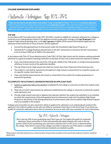# COLLEGE ADMISSIONS EXPLAINED

Automatic Admission: Top 10%-25%

There are two ways to be admitted to most public, 4-year universities in Texas. The first is by automatic admission, which is based on class ranking. The second is through **admissions review**. *This is how the majority of students are* admitted! Students not ranked in the top 10% can and should still plan on attending college, but must complete additional steps (i.e. academic résumé, letters of recommendation, essay) in order to be considered for admissions.

## TOP 10%

In accordance with Texas Education Code (TEC), §51.803, a student is eligible for automatic admission to a college or university as an undergraduate student if the applicant earned a grade point average in the **top 10 percent** of the student's high school graduating class, or the top 7 percent of eligible 2018 summer/fall freshman applicants for admission to the University of Texas at Austin, and the applicant:

- Earned the distinguished level of achievement under the Foundation High School Program; or
- Satisfied ACT's College Readiness Benchmarks on the ACT assessment or earned on the SAT assessment a score of at least 1500 out of 1600 or the equivalent.

In accordance with Title 19 Texas Administrative Code (TAC), §5.5(e), high school rank for students seeking automatic admission to a general academic teaching institution on the basis of class rank is determined and reported as follows.

- Class rank shall be based on the end of the 11th grade, middle of the 12th grade, or at high school graduation, whichever is most recent at the application deadline.
- The top 10 percent of a high school class shall not contain more than 10 percent of the total class size.
- The student's rank shall be reported by the applicant's high school or school district as a specific number out of a specific number total class size.
- Class rank shall be determined by the school or school district from which the student graduated or is expected to graduate.

# TO COMPLETE THE AUTOMATIC ADMISSION PROCESS AN APPLICANT MUST:

- 1. Submit an application before the deadline established by the college or university to which the student seeks admission;
- 2. Meet all curriculum requirements for admission established by the college or university to which the student seeks admission; and
- 3. Provide a high school transcript or diploma that indicates whether the student has satisfied or is on schedule to satisfy the requirements of the distinguished level of achievement under the Foundation High School Program or the portion of the distinguished level of achievement under the Foundation High School Program that was available to the student.

Colleges and universities are also required to admit an applicant for admission as an undergraduate student if the applicant is the child of a public servant who was killed or sustained a fatal injury in the line of duty. If you think you qualify for automatic admissions due to this circumstance, be sure to meet with your counselor for more information.

# Top 25% Automatic Admission

Not in the top 10% of your graduating class? Don't give up! You might still qualify for automatic admission. Some universities in Texas will automatically admit students who rank in the top quarter (25%) of their graduating class and meet a minimum ACT or SAT score, as determined by the college. Take time to research the colleges you'd like to attend to see if this option is available and what minimum standards are needed to qualify.

Please keep in mind that admission to a university does not guarantee acceptance into a particular program of study or academic department.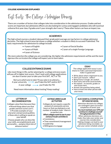## COLLEGE ADMISSIONS EXPLAINED

Fast Facts: The College Admission Process

There are a number of factors that colleges take into consideration in the admission process. Grades and test scores are important, but admissions officers are also looking for curious and engaged candidates who will round out a diverse first-year class. If grades aren't your strength, don't worry! These other factors can have an impact, too.

# **ACADEMICS**

The high school courses a student takesand their grade point average are top factors in college admission decisions. The high school transcript shows a college whether a student is likely to succeed if admitted. The basic requirements for admission to college include:

- 
- 
- 4 years of Science
- 4 years of English 3 years of Social Studies
- 4 years of Math 2 years of a single Foreign Language

The more selective the college you are considering, the higher the admission requirements will be and the more rigorous the curriculum the college will expect you to have taken*.*

# COLLEGE ENTRANCE EXAMS

Like most things in life, earlier planning for a college entrance exam will pay off in higher test scores. Don't wait until college applications are due in senior year to take your first SAT, ACT or TSI.

Not sure which one to take? If your plan is to attend a... 4-year university  $\longrightarrow$  you'll take the SAT and/or ACT

2-year college  $\longrightarrow$  you'll take the TSI

Need more information about testing? Keep reading!

# ESSAY

The college application essay is your chance to make a personal impression – make it a good one!

- Write about what's important to you.
- Don't just recount reflect!
- Being funny is tough...be careful!
- Start early and write several drafts.
- No repeats no awards, grades or test scores here.
- Answer the question being asked.
- Have at least one other person edit your essay.

# LETTERS OF RECOMMENDATION

Colleges value them because they:

• Reveal things about you that grades and test scores can't!; • Provide examples of your

character and personal qualities;

• Show who is willing to speak on your behalf.

Choose people who can describe your skills, accomplishments and personality ... and give them lots of advance notice!

# EXTRACURRICULAR **ACTIVITIES**

Colleges do not require a specific amount of community service hours or that you belong to a set number of student clubs - there is no perfect mix.

What colleges want to see in your extracurricular activities is:

- Consistency
- Time commitment/management
- Leadership
- Willingness to engage

# SUCCESSFUL COMPLETION OF HIGH SCHOOL

Admission decisions by colleges are contingent upon successful completion of senior year.

#### You must maintain your GPA and continue to challenge yourself through graduation in May.

When admission decisions are made, they take your senior year courses into consideration. Making changes can lead to your admission being rescinded...so plan your senior schedule wisely!

8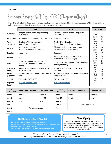# Entrance Exams: SAT vs. ACT (4-year colleges)

The ACT and the SAT tests attempt to measure college readiness and predict future academic success. Most 4-year colleges and universities accept both tests equally, so the choice is yours to make!

|                                    | <b>SAT</b>                                                                        | <b>ACT</b>                                                                      | <b>SAT vs. ACT</b>   |                |
|------------------------------------|-----------------------------------------------------------------------------------|---------------------------------------------------------------------------------|----------------------|----------------|
| What it is                         | An aptitude test measuring reasoning and<br>verbal abilities                      | An achievement test measuring what a<br>student learned                         | 1600                 | 36             |
| Why Take it                        | Scores used for college admissions and merit-based scholarships                   |                                                                                 | 1560<br>1510         | 35<br>34       |
| <b>Test</b><br><b>Structure</b>    | Reading, Writing & Language,<br>Math, Essay (optional)                            | English, Math, Reading,<br>Science Reasoning, Essay (optional)                  | 1460<br>1420<br>1380 | 33<br>32<br>31 |
| Length                             | 3 hours (without essay)<br>3 hours, 50 minutes (with essay)                       | 2 hours, 55 minutes (without essay)<br>3 hours, 40 minutes (with essay)         | 1340<br>1300         | 30<br>29       |
| Reading                            | 5 passages                                                                        | 4 passages                                                                      | 1260<br>1220         | 28<br>27       |
| <b>Science</b>                     | None                                                                              | 1 section testing your critical thinking skills<br>(not your science knowledge) | 1190<br>1150         | 26<br>25       |
| Math                               | Covers Arithmetic, Algebra I & II,<br>Geometry, Trigonometry and Data<br>Analysis | Covers Arithmetic, Algebra I & II, Geometry<br>and Trigonometry                 | 1110<br>1070<br>1030 | 24<br>23<br>22 |
| <b>Calculator</b><br><b>Policy</b> | Some math questions don't allow you to<br>use a calculator                        | You can use a calculator on all math<br>questions                               | 990<br>950<br>910    | 21<br>20<br>19 |
| <b>Essays</b><br>(Optional)        | Will test your comprehension of a source<br>text                                  | Will test how well you evaluate and analyze<br>complex issues                   | 870<br>830           | 18<br>17       |
| Scored                             | On a scale of 400-1600                                                            | On a scale of 1-36                                                              | 790<br>740           | 16<br>15       |
| Register/<br>Fees*                 | www.collegeboard.org<br>\$52                                                      | www.actstudent.org<br>\$55                                                      | 690                  | 14             |

| <b>SAT</b><br><b>Test Dates</b> | <b>Registration Deadline</b> | <b>Late Registration</b> | <b>ACT</b><br>Test Dates | <b>Registration Deadline</b> | Late Registration |
|---------------------------------|------------------------------|--------------------------|--------------------------|------------------------------|-------------------|
| May 6                           | April 7                      | April 25                 | April 8                  | March 3                      | March 17          |
| June 3                          | May 9                        | May 24                   | June 10                  | May 5                        | May 19            |
| Aug 26                          | July 17                      | Aug <sub>7</sub>         | Sept 9                   |                              |                   |
| Oct 7                           |                              |                          | Oct 28                   | To be determined             |                   |
| Nov <sub>4</sub>                | To be determined             |                          | Dec 9                    |                              |                   |
| Dec 2                           |                              |                          |                          |                              |                   |

# No Matter Which One You Take…

- Plan to test at least twice maybe three times!
- When choosing test dates, consider college application deadlines Is there enough time to get scores back?
- Visit with Mrs. McDonald (B101) for ways to improve scores

Score Reports

When you register to take either the SAT or ACT, you are allowed 4 free score reports (for a limited amount of time). Make sure you take advantage of this opportunity or you will have to pay up to \$12 per report to send your scores to schools.

\*Do you qualify for Free and Reduced Lunch at school? If so, ask your counselor about ACT, SAT, and college application fee waivers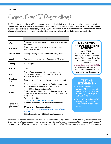Assessment Exam: TSI (2-year colleges)

The Texas Success Initiative (TSI) assessment is designed to help 2-year colleges determine if you are ready for college-level course work in the areas of reading, writing, and mathematics. Test scores are used to place students in appropriate courses and not to deny admission\*. All students must have TSI scores on file prior to registration at a junior college. Test early so you'll have time to meet with a college advisor before course registration.

|                                      | <b>TSI</b>                                                                                                                                                                                                                                                                           |
|--------------------------------------|--------------------------------------------------------------------------------------------------------------------------------------------------------------------------------------------------------------------------------------------------------------------------------------|
| What it is                           | An assessment to determine your readiness for college-<br>level work                                                                                                                                                                                                                 |
| Why Take it                          | Scores used for college admission and placement in<br>appropriate courses                                                                                                                                                                                                            |
| <b>Test Structure</b>                | Reading, Writing (multiple choice and essay), Math                                                                                                                                                                                                                                   |
| Length                               | Average time to complete all 3 sections is 3-5 hours                                                                                                                                                                                                                                 |
| <b>Reading</b>                       | 4-5 passages                                                                                                                                                                                                                                                                         |
| <b>Science</b>                       | None                                                                                                                                                                                                                                                                                 |
| Math                                 | Covers Elementary and Intermediate Algebra,<br>Geometry and Measurement, and Data Analysis,<br><b>Statistics and Probability</b>                                                                                                                                                     |
| Calculator<br><b>Policy</b>          | Some math questions don't allow you to use a calculator                                                                                                                                                                                                                              |
| <b>Essays</b>                        | A five-paragraph persuasive essay (300-600 words) on<br>a controversial issue or one of current interest                                                                                                                                                                             |
| Scored*                              | Math: 950 or Diagnostic Score of 6<br>English Language/ELAR: 945 or higher and an essay of<br>5-8; or Below 945 with a Diagnostic Score of 5-6 and an<br>essay of 5-8                                                                                                                |
| Registration<br>Information/<br>Fees | Through Alvin ISD:<br>http://www.alvinisd.net/Page/30100<br>\$25 (all subject areas); \$10 (individual subject area)<br>Through Alvin Community College:<br>https://www.alvincollege.edu/admissions/testing/<br>tsi.html<br>\$39 (all subject areas); \$15 (individual subject area) |

# **MANDATORY** Pre-Assessment **ACTIVITY**

You are REQUIRED to complete the Pre-Assessment Activity (PAA) before you can take the TSI. You can find a link to the PAA on our school website at

#### [www.alvinisd.net/Page/30100.](http://www.alvinisd.net/Page/30100)

You will not be allowed to take the TSI assessment until you have completed this activity.

# **TESTING EXEMPTIONS**

- Have already scored 23 or higher on ACT (composite), and earned individual scores of 19 or higher on English and math tests; or
- Earned 480 or higher on SAT Reading/Writing test; SAT Math score must be 530 or higher

\*If students do not pass one or all parts of the TSI assessment (reading, writing and math), they may be required to enroll in developmental education coursework or accelerated intervention classes before enrolling in college credit courses for the subject they did not pass. Students may retake any or all parts of the TSI at any time to determine college readiness.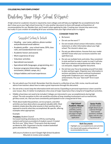#### COLLEGE/MILITARY/EMPLOYMENT

# Building Your High School Résumé

A high school (or academic) résumé is required by most colleges and will help you highlight the accomplishments that don't show up on your high school transcript. It's also another document to share with people writing letters of recommendation for you. Besides that, you'll need it when applying for jobs. Creating your résumé may seem scary, but really it's just a matter of compiling all of your activities from your high school years in a logical.

# Suggested Sections to Include

- **-** Heading your name, address, phone number and professional email address
- **-** Academic profile your school name, GPA, class rank, and standardized test scores
- **-** Academic honors and awards
- **-** Work experience (if any)
- **-** Volunteer activities
- **-** Specialized coursework
- **-** Specialized skills (languages, programming, etc.)
- **-** Summer programs (internships, college enrichment, athletic camps, etc.)
- **-** Unique hobbies and travel experiences

## CONSIDER THESE TIPS

- Be honest.
- Do not use the word "I"
- Do not include school contact information, mission statement, or other information about your high school. The résumé is about you.
- Do not use abbreviations. Assume that your reader will NOT know what your acronyms stand for and spell them out.
- Do not use multiple fonts and styles. Stay consistent in style and font to make it easier to read. It will also look more cohesive and professional rather than a cut and paste, slapped-together document.
- Do not lose your focus by jumping around from date to date and back again. Organize your information in sections and dates to show continual involvement and growth. Emphasize your *most significant* achievements. Put your "best stuff" first in each section.
- Do not submit your first draft. Remember that this résumé is a reflection of you. Edit, revise, rewrite and seek advice from teachers about how to make a great impression through this document.
- Do not write a novel; keep the information brief and concise. Expanding on personal experiences is best saved for your essays. Also, it's better to emphasize a few areas of major importance than a long list of insignificant activities.
- Middle school does not need to be included. Colleges are interested in your accomplishments during high school. The only exception to this rule would be activities of long-standing involvement such as martial arts, girl/boy scouts, etc. that you have consistently participated in over a long period of time.
- Think about leadership positions, service projects, and other activities you have done where you gained valuable skills. Most students simply describe what anyone in their position did, as opposed to exactly what they accomplished. Be specific, offering examples when appropriate.

#### Example:

#### President, Student Council

Increased meeting attendance by 25% by overhauling content and format as president of student council. Created the first-ever "After Hours" Prom party that decreased accidents by 30%. Organized a faculty-student basketball game attended by 450 students.

Still unsure of where to start? Google High School Academic Résumés to review some samples.

#### High School/ Academic Résumé is a general list of activities, events, facts and figures;

one page in length; submitted with application

#### Senior Profile

provides deeper insight about you as a person through short answer questions; multiple pages; only for your recommenders

#### Both Documents

- **-** Highlight your accomplishments and activities
- **-** Are shared with people writing letters of recommendation for you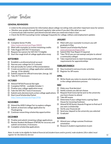Senior Timeline

# GENERAL REMINDERS

- Listen to the announcements for information about college recruiting visits and other important news for seniors
- Monitor your grades through Skyward regularly; take action if you don't like what you see!
- Communicate with teachers and attend tutorials when you need extra help in class
- Check the SCHS Counseling Center webpage frequently for college, military and employment updates

# AUGUST

- □ Complete Senior Profile <http://www.alvinisd.net/Page/30835>
- $\Box$  Meet with counselor to review remaining credits
- $\Box$  Take August SAT/ACT if necessary
- $\Box$  Request fee waivers for SAT/ACT if eligible
- $\Box$  Start the rough draft of college application essay

# SEPTEMBER

- $\square$  Establish a *professional* email account
- $\Box$  Narrow your college list (3-5 schools)
- $\Box$  Ask personally for Letters of Recommendation
- $\Box$  Create account(s) on college application website(s) (see pg. 15 for details)
- $\Box$  Submit request for official transcripts (see pg. 16)
- $\Box$  Take ACT if necessary

# **OCTOBER**

- Attend FAFSA/Financial Aid night
- □ Complete FAFSA available October 1
- $\Box$  Finalize your college application essay
- $\Box$  Take the SAT/ACT tests if necessary
- $\Box$  Submit early decision/early action college applications  $\Box$  Request final transcript be sent to the university
- □ Start Local Scholarship Packet <http://www.alvinisd.net/Page/2936>

# NOVEMBER

- $\Box$  Attend the AISD College Fair to explore colleges
- $\Box$  Submit *at least* one college application by **Thanksgiving**
- $\Box$  Continue researching scholarship opportunities

# DECEMBER

- $\Box$  Finalize and submit remaining college applications
- Review Student Aid Report (FAFSA) for accuracy and submit corrections, if necessary
- $\Box$  Complete scholarship applications

# **JANUARY**

- $\Box$  Meet with your counselor to ensure you will graduate in May
- Submit Local Scholarship Packet [www.alvinisd.net/Page/2936](http://www.alvinisd.net/Page/2936)
- $\square$  Submit Mid-Year Report if required
- $\Box$  Take TSI (if you are not exempt and plan to attend a community college)
- $\square$  Take required tests to meet licensing/certification requirements for apprenticeships

# FEBRUARY/MARCH

- $\square$  Stay involved in extracurricular activities
- $\Box$  Register for AP exams

# APRIL

 $\Box$  Write thank you notes to anyone who helped you in the college admissions process

## **MAY**

- $\Box$  Make your final decision!
- $\Box$  Notify schools you did not choose
- you have chosen to attend
- $\square$  Take AP exams
- $\Box$  Determine if your college hosts a spring Open House for incoming freshmen
- Attend SCHS Senior Awards Program to find out if you won a scholarship
- $\Box$  Verify your financial aid
- $\Box$  Send your deposit to the university you selected
- Graduate!

# **SUMMER**

- Attend your college summer/freshman orientation
- $\square$  Research student organizations to join

Note: In order to be eligible for federal financial aid (student loans and/or grants), male students (18 or older) must register for the Selective Service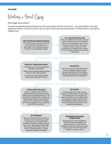COLLEGE

Writing a Great Essay

#### The college essay matters!

It reveals something important about you that your grades and test scores can't – your personality. It can give admissions officers a sense of who you are, as well as showcase your writing skills. Try these tips to craft a great college essay.



a huge fan of southwestern writers and Texas State is home to many of them," he says. "So I related my connection with western fiction to why I would be a great fit for the school."

want to attend a certain college. Don't be tempted to write what you think the admissions officers want to hear; answer the question honestly. They CAN tell the difference.

#### GET FEEDBACK

Show your draft to family, friends or teachers. Ask if it makes sense and sounds like you. Consider their feedback and make changes, but keep your voice - figuratively and literally. At some point read your essay out loud. If something feels or sounds awkward, it needs to be fixed!

#### PROOFREAD AND MAKE **CORRECTIONS**

Read your essay over carefully to check for typos and spelling and grammar errors. It's best to ask someone who hasn't seen it yet to take a look as well. They're likely to see mistakes you won't catch.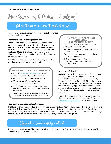# More Researching & Finally…Applying!

# "I still <u>don't know</u> where I want to apply to college!"

No problem! Here are some ways to learn more about what's out there waiting for you…

# Spend Lunch with College Representatives

Shadow Creek High School works diligently to expose students to universities across the state. On occasion, we will host college admissions representatives during both lunch periods to answer questions about campus life and academics. Students are highly encouraged to take advantage of these opportunities. (See pg. 19 so you know what questions to ask.)

Want to see a particular school visit our campus? Talk to you Counselor. We'll see what we can do!

# Visit a National College Fair

- Access th[e www.gotocollegefairs.com](http://www.gotocollegefairs.com/) website
- Click the "Students Register Now" button
- Select the state where you'll attend the fair
- Choose the specific fair you'll attend
- Complete required fields and submit
- Print out barcode and bring it to fair colleges you're interested in will scan it to get your contact information

Don't forget to write the date of the college fair in your planner or set a reminder in your phone!

# Pay a Quick Visit to Local College Campuses

#### How Do I Know When **COLLEGES** are Visiting SCHS?

- Read the scrolling announcements during passing periods and lunches
- Look for informational flyers posted outside to Counselor Suite
- Check the Counselor webpage periodically for updated information
- Follow the Counselors on Twitter @Shark\_Counselor so you don't miss important dates

# Attend Area College Fairs

Alvin ISD hosts a district-wide college fair each year in the fall at one of the area high schools (location alternates from year-to-year between Alvin HS, Manvel HS or Shadow Creek HS). Students of all ages and parents are encouraged to attend to learn about the various college opportunities available to them, and build relationships with college representatives. Information regarding financial aid is also available at this event.

Many other national college fairs are also hosted in the Houston area throughout the year. Go to [www.gotocollegefairs.com](http://www.gotocollegefairs.com/) to find one near you!

The Houston area is home to 100-plus colleges, community colleges, technical and trade schools, including 14 major institutes of higher learning. Even if you are hoping to attend a university outside of Houston, visiting a local campus is an easy way to gain a better understanding of the basics of college. You can learn a lot about the different college options (i.e., which size school is the best fit for you) just by driving around campuses.

# "I know where I want to apply to college!"

Awesome! Let's get started. The process isn't hard, but it can be long. Getting started earlier is better so you'll be prepared long before any deadlines.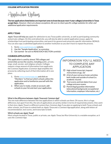Application Options

The two applications listed below are important ones to know because most 4-year colleges/universities in Texas accept them. However, there are always exceptions. Be sure to check specific college websites for other and additional application requirements.

# APPLY TEXAS

Apply Texas will help you apply for admission to any Texas public university, as well as participating community and private colleges. On this centralized site, you will also be able to submit application essays, apply for scholarships from participating universities, and search for general and university specific information. BONUS: You can also copy a submitted application to another institution so you don't have to repeat the process.

- 1. Go t[o www.applytexas.org](http://www.applytexas.org/) website.
- 2. Use the "Sample Application" as a preview.
- 3. Get started be sure to READ EACH SECTION carefully!

# COMMON APPLICATION

This application is used by almost 700 colleges and universities across the country, including public, private, large, small, secular, and religious schools. Colleges request a large amount of information from applicants; the Common Application (Common App) simplifies the process by collecting much of that information all in one place.

- 1. Go t[o www.commonapp.org](http://www.commonapp.org/) and click on "Members" to find out which schools utilize this application and to familiarize yourself with the application.
- 2. When you're ready, create an account, add schools to your list and start your application.

Information you'll Need to Complete ANY **APPLICATION** 

- $\Box$  High school transcript (request instructions on pg. 16)
- $\Box$  A list of your extracurricular activities both inside and outside of school (i.e. academic résumé)
- $\Box$  Test scores and test dates from your college entrance exams
- $\Box$  Parent/legal guardian information (educational background, occupational information, employer information, etc.)

### What is the difference between Apply Texas and Common App?

The one main difference between the two applications is which schools use them. Of course, this is a huge difference, but apart from this, the sets of applications are pretty similar in terms of required documents. One catch is that since Apply Texas is a different system than Common App, if you plan on applying to both Texas schools and other schools, you'll have to submit both an *Apply Texas* and a *Common App* application, along with letters of recommendation, test scores, and transcripts to both.

### Which schools use *Apply Texas*?

Most schools located in Texas, public or private, use Apply Texas, but Rice University is a notable exception, as it uses the *Common App*.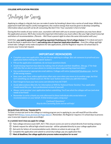Strategies for Success

Applying to college is a big job, but you can make it easier by breaking it down into a series of small steps. While the paperwork itself will require careful management, the creative energy that must be given to develop compelling information about yourself can be all-consuming. But don't fret. Your counselor is here to help!

During the first weeks of your senior year, counselors will meet with you to answer questions you may have about the application process. We'll also review the important information you must collect, like your high school transcript and letters of recommendation. (Parents - We'll host a parent night to share the same information with you.)

Until then, you need to spend your time getting organized, finalizing your list of college choices (3-5 is ideal and won't break the bank in application fees!), and making note of important application deadlines - from the college and high school side. Colleges rarely make exceptions for late applications, and the Registrar requires 10 school days to process your transcript request.

# IMPORTANT REMINDERS

- Complete your own application. You are the one applying to college. (But ask someone to proofread your application before hitting the 'submit' button!)
- Fill out the application completely; do not leave questions blank.
- Avoid missing important due dates by making a list of schools and their deadlines. (See pg. 17 for help with this.) Set an alert on your phone to remind you about approaching important dates!
- Use a professional or appropriate email address. Colleges will notic[e ImtheGOAT@yahoo.com](mailto:ImtheGOAT@yahoo.com) ...but for all the wrong reasons.
- Save, save, save. Sure, online applications often auto-save when you move on to another page, but that isn't something you should count on. Hit the 'save' button every time you add information.
- Don't forget to have your test scores sent directly from ACT/SAT.
- Avoid abbreviations (like info. for information or NHS for National Honor Society). Your application should sound like you – but a professional version of yourself.
- Always 'print preview' your application before submitting. You'll see what the colleges will see (and what needs to be fixed)!
- Remember to write a thank you note afterward to those individuals who wrote letters of recommendation on your behalf. A little kindness goes a long way!

Confused? Questions? Stop by the Counseling Suite and we will help!

### REQUESTING OFFICIAL TRANSCRIPTS

To have a transcript sent to the college or training program you're applying to, you will need fill out the online request form [\(https://www.alvinisd.net/Page/36615](https://www.alvinisd.net/Page/36615)). Remember, the Registrar requires 3-5 school days to process your transcript request so plan accordingly!

#### In a nutshell, here's how you apply for college:

- $\Box$  Take college entrance exam (SAT, ACT, TSI); ensure scores are sent to school directly from testing company
- $\Box$  Submit request for official high school transcript will be uploaded directly to your college application
- $\Box$  Ask early for letters of recommendation early *(Advice on whom to ask on pg. 20.)*
- $\Box$  Complete the application and submit to university/college; pay any application fees
- $\Box$  Meet all deadlines; the college application process makes exceptions for no one!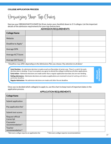Organizing Your Top Choices

Narrow your DREAM/MATCH/SAFE list (from Junior year checklist) down to 3-5 colleges. List the important details of the admission requirements for your top choices here.

## ADMISSION REQUIREMENTS

| College Name       |  |  |
|--------------------|--|--|
| Website            |  |  |
| Deadline to Apply* |  |  |
| Average GPA        |  |  |
| Average ACT Score  |  |  |
| Average SAT Score  |  |  |

\*Deadlines may differ depending on the Admissions Plan you choose. Pay attention to all dates!

| Early Decision - An admission decision is made as early as December of senior year. There's a catch! An early<br>decision plan is <i>binding</i> -if you're accepted, you agree to attend the college & withdraw all other applications.<br>Early Action - Admission decisions are made earlier than a regular application due date, but are non-binding. | DNISSION |
|-----------------------------------------------------------------------------------------------------------------------------------------------------------------------------------------------------------------------------------------------------------------------------------------------------------------------------------------------------------|----------|
| <b>Rolling Admissions -</b> Admission decisions are made as applications are received instead of waiting until after a<br>particular deadline.                                                                                                                                                                                                            |          |
| Regular Admissions - No admission decisions are made until after the set deadline.                                                                                                                                                                                                                                                                        |          |

Once you've decided which college(s) to apply to, use this chart to keep track of important dates in the application process.

# APPLICATION REQUIREMENTS

| <b>College Name</b>                       |  |  |
|-------------------------------------------|--|--|
| Submit application                        |  |  |
| Pay application fee <sup>t</sup>          |  |  |
| Submit test scores                        |  |  |
| Request official<br>transcript            |  |  |
| Counselor<br>recommendation <sup>tt</sup> |  |  |
| Teacher<br>recommendation <sup>tt</sup>   |  |  |

 $<sup>$\dagger$</sup>$ Not every college requires an application fee</sup>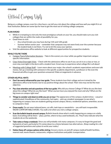Official Campus Visits

Being on a college campus, even for a few hours, can tell you a lot about the college and how well you might fit in at that institution. Below are some tips for how to get the most out of visiting college campuses.

## PLAN AHEAD

- While it is tempting to visit only the most prestigious schools on your list, you should make sure you visit colleges that are within the realm of possibility for you.
- Good times to visit:
	- Any school breaks you may have during 11th and 12th grade
	- Summer before senior year remember that campuses may not seem lively over the summer because the student body is not there. Try not to let this sway your opinion.
- Visit the admissions office website to look at different opportunities for prospective students.

#### WHILE YOU'RE THERE

- Campus Tours/Information Sessions Take in the scenery on a tour while you gather important campusspecific information.
- Class Visits/Overnight Visits Check with the admissions office to see if you can sit in on a class or two, or even stay overnight in the dorm with a student host. Great way to experience what college life is all about!
- Meetings with College Staff Learn more about your major, the school's academic expectations and even talk money. Set up a meeting with someone in the specific academic department, a professor or the even the financial aid office to get your questions answered. Make arrangements in advance.

#### OTHER HELPFUL HINTS

- Don't be overly influenced by your tour guide. These students love their college and are trained by the admissions office to be honest, but to say positive things about the school. Their view may not be the most objective.
- Pay close attention and ask questions of the tour guide. Why did you choose College X? What do you like best about the college? What do you like least? What courses have you enjoyed the most and why? What are the big issues on campus right now?
- Things to consider and observe while you are on tour: The appearance of the campus; student dress casual or sophisticated; friendliness of the community; hot topics – pick up a student newspaper to see what's happening on campus; how are students getting around campus; library; residential options; amenities; access to computers; food.
- Dress neatly. Do not wear tattered jeans, cut-offs, tank tops or sweatshirts you will look irresponsible. WEAR COMFORTABLE SHOES. You walk a lot when you visit a college campus.
- Scan the bulletin boards around campus. Bulletin boards show what is really happening on campus on a daily basis. Everything will be there – plays, parties, where to buy used textbooks, etc. They'll also indicate what the students do on the weekends.
- Take notes or keep a notebook. Since you will probably visit many campuses, it's easy to forget the good and bad points of each, particularly if it comes down to a choice between two alternatives. (Keep reading for a list of suggested questions and a place to write your notes.)
- Notice these off-campus options while visiting: Grocery stores, on and off campus medical/health facilities, nearest mall, movie theatre, restaurants, religious institutions and public transportation.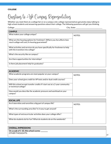Questions to Ask Campus Representatives

Whether you meet them at a college fair or on a campus visit, college representatives genuinely enjoy talking to high school students and answering questions about their college. The following questions will get you thinking.

| ollegr |
|--------|
|        |

College: \_\_\_\_\_\_\_\_\_\_\_\_\_\_\_\_\_\_\_\_\_\_\_\_\_\_\_\_\_\_\_\_\_\_\_\_\_\_\_\_\_\_\_\_\_\_\_\_\_\_\_\_\_\_\_\_\_\_\_ City, State: \_\_\_\_\_\_\_\_\_\_\_\_\_\_\_\_\_\_\_\_\_\_\_\_\_\_\_\_\_\_\_\_\_\_\_

| <b>CAMPUS</b>                                                                                                             |        |
|---------------------------------------------------------------------------------------------------------------------------|--------|
| What makes your college unique?                                                                                           | NOTFS: |
| What are the housing options for freshmen? (Where you live affects how<br>much college will cost.) Is housing guaranteed? |        |
| What activities and services do you have specifically for freshmen to help<br>with the transition into college?           |        |
| What's the security like on campus?                                                                                       |        |
| Are there opportunities for internships?                                                                                  |        |
| Is there job placement help for graduates?                                                                                |        |

| <b>ACADEMIC</b>                                                                                        |        |
|--------------------------------------------------------------------------------------------------------|--------|
| What academic programs are most popular on your campus?                                                | NOTFS: |
| Does your school give credit for AP tests and/or dual credit courses?                                  |        |
| Will this school accept transfer credits if I start out at a 2-year community<br>or technical college? |        |
| How would you describe the academic pressure and workload on your<br>campus?                           |        |

| <b>SOCIAL LIFE</b>                                                |        |
|-------------------------------------------------------------------|--------|
| Are fraternities and sororities a big part of campus life?        | NOTFS: |
| What's the surrounding area like? Is it easy to get around?       |        |
| What types of extracurricular activities does your college offer? |        |
| What do students do for fun? What do students do on the weekends? |        |

| <b>OVERALL IMPRESSIONS</b>              |
|-----------------------------------------|
| On a scale of 1-10, this school scores: |
| OTHER THOUGHTS:                         |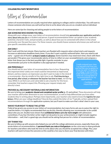# COLLEGE/MILITARY/WORKFORCE

Letters of Recommendation

Letters of recommendation are usually required when applying to colleges and/or scholarships. You will want to choose someone who knows you well and has time to write about who you are as a student and an individual.

Here are some tips for choosing and asking people to write letters of recommendation:

# ASK SOMEONE WHO KNOWS YOU WELL

Along with your college essay, your letters of recommendation should help **personalize your application and tell a** story about who you are as a student and person. A good recommendation letter can speak to your academic potential, character traits, and personality, as well as about how you've connected with others in the school community over the past few years. For these reasons, you should choose someone who knows you well and can give specific anecdotes about you.

# ASK EARLY

Don't wait until the last minute. Many teachers are flooded with requests when school starts and requests increase as admissions deadlines loom closer. If you don't want a quickly authored letter, then you need to ask early - a good rule of thumb is at least 2 weeks in advance. (Some teachers may need more time; check with them personally!) This gives your recommender plenty of time to reflect on your accomplishments and compose a letter that shows you in the best possible light. A gentle reminder to your

recommender just prior to the deadline is also appropriate if needed.

# ASK PERSONALLY

You should ask for your letter of recommendation face to face. Requesting this important letter solely over email could be interpreted as impersonal, distant, and less mature; an impression you don't want to make in the mind of a recommender. Also be mindful of the right time to ask. Find time during a free period, after school, or whenever the teacher has time to meet, not during class. While it can feel scary and vulnerable to ask a teacher for this favor, remember that teachers expect this. Phrasing your request simply and directly is best.

# PROVIDE ALL NECESSARY MATERIALS AND INFORMATION

I really enjoyed your class. I've learned a lot from you and feel like you've gotten to know me well. I'm applying to College X and would be really flattered if you could write me a strong letter of recommendation for my application(s).

> – Confident Senior requesting a letter

Be sure to bring your **academic résumé and completed senior profile** (p. 21 and online). These documents will help your teacher add further dimension to your recommendation, as well as help differentiate you from other students they're writing about. Perhaps more importantly, your teachers also need to know the **logistics for your** letters. When are your college deadlines? How do they submit the letter of rec? Typically, writers upload their recommendations through the application systems, but you'll want to make sure that's what's best in your case,

# WAIVE YOUR RIGHT TO READ THE LETTER

Federal law grants you access to your letters of recommendation, but many forms ask you to waive the right to read the letters. It is highly recommended that you do this, thereby allowing your recommender to be candid about who you are. Studies have shown that **confidential letters carry far more weight** with admissions committees. If you fear the letter writer might not do justice to your achievements or might include negative information — well, that's a good sign you should not be asking that person for a letter of recommendation.

### SAY THANK YOU

Be sure to follow up with anyone who helped you out with the college admissions process, especially those who wrote letters of recommendation. A **personal thank-you note or kind gesture** can be a nice way to show gratitude for teachers and others who took the time to write about why you should be accepted into college. Plus, your teachers will want to know the outcome so this could be a fun way to share your final decision with them.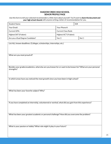# SHADOW CREEK HIGH SCHOOL SENIOR PROFILE PAGE

Use this form to tell your selected recommenders a little more about yourself. You'll want to share the document and your high school résumé with anyone writing a letter of recommendation for you.

| <b>Student Name:</b>             |                               | ID# |  |
|----------------------------------|-------------------------------|-----|--|
| Your Email:                      | Your Phone #:                 |     |  |
| Current GPA:                     | <b>Current Class Rank:</b>    |     |  |
| Highest SAT (if taken):          | Highest ACT (if taken):       |     |  |
| Are you a Dual Degree Candidate? | No <sub>1</sub><br>Yes $\Box$ |     |  |

List ALL known deadlines: (Colleges, scholarships, internships, etc.) What are you most proud of? Besides your grades/academics, what else are you known for or want to be known for? What are your personal strengths? In which areas have you noticed the most growth since you have been in high school? What has been your favorite subject? Why? If you have completed an internship, volunteered or worked, what did you gain from this experience? What has been your greatest academic or personal challenge? How did you overcome the problem?

What is your passion or hobby? What role might it play in your future?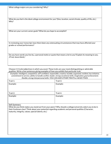What college majors are you considering? Why?

What do you feel is the ideal college environment for you? (Size, location, social climate, quality of life, etc.) Why?

What are your current career goals? What do you hope to accomplish?

In reviewing your transcript, have there been any extenuating circumstances that may have affected your grades or school performance?

Do you have words you live by, a personal motto or quote that means a lot to you? Explain its meaning to you. (If not, leave blank.)

Choose 2-4 traits/adjectives in which you excel. These traits are your most distinguishing or admirable qualities. Write a few sentences giving examples of how you exhibit that particular trait.

Examples: Intelligent, competitive, self-confident, responsible, creative, humble, organized, resilient, has initiative, commitment to service, ability to handle conflict, leader, strong vocational skills, imagination, goal achievement, flexible, strong interpersonal skills. YOU CAN ADD OTHER TRAITS or ADJECTIVES.

| Trait 1: | Trait 3: |
|----------|----------|
| Example: | Example: |
|          |          |
|          |          |
| Trait 2: | Trait 4: |
| Example: | Example: |
|          |          |
|          |          |

Self-Summary:

What do you think makes you stand out from your peers? Why should a college/university select you to be in their freshman class? Think about your potential regarding academic and personal qualities (Character, maturity, integrity, values, special talents, etc.)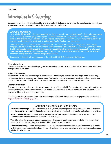Introduction to Scholarships

Scholarships are the most talked about form of financial aid. Colleges often provide the most financial support, but scholarships can also be awarded on the local, state and national levels.

### LOCAL SCHOLARSHIPS

Local scholarship providers like to see people from their community succeed so they offer financial rewards only to residents of a particular geographic region. Since the number of students who qualify is limited based on location, the chances of winning local scholarships are often greater than winning those at the national level. This can make local scholarships an attractive and easy option for funding your education.

A complete list of local scholarships is published each October on the Alvin ISD College and Career Center webpage. Packets include detailed information about each scholarship, instructions for applying and important deadlines. Students should evaluate their academic credentials, talents, and school and community involvement carefully to determine which scholarships to apply for. In order to be considered for local scholarships, students must meet all eligibility requirements and posted deadlines.

Scholarship recipients will be announced in the spring at the SCHS Senior Awards Program.

#### State Scholarships

l

Almost every state has a scholarship program for residents; awards are usually limited to students who will attend college in that same state.

#### National Scholarships

There are lots of national scholarships to choose from – whether you were raised by a single mom, have strong religious convictions, a passion for thinking "green" or love to dance, chances are there is at least one scholarship out there that for you! – but all are open to people across the country, so expect lots of competition.

#### College Scholarships

Scholarships given by colleges are the most common form of financial aid. Check out a college's website, catalog and financial aid materials for information on the available scholarships. Awards can be offered on a university-wide basis or within a particular college or major.

Need help searching for national and state scholarships? Visit the SCHS Counselor webpage > Scholarships tab at <http://www.alvinisd.net/Page/30551>

# Common Categories of Scholarships

Academic Scholarships – Eligibility criteria is usually based on grade point average, class rank, and test scores. In addition, scholarship committees often look for involvement in school, community, and volunteer activities.

Athletic Scholarships – Outstanding athletes are often offered large scholarships but there are a limited number of these scholarships and competition is very tough.

Talent Scholarships (music, drama, art, dance, etc.) - In order to receive this type of scholarship, the student needs to be truly outstanding because like athletics, competition is tough.

Minority Scholarships – Many colleges offer these scholarships in order to attract qualified minority students to their campuses. Interested students should ask colleges they are considering for information about campus scholarships in this area.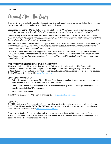Financial Aid: The Basics

The majority of financial aid is based on demonstrated financial need. Financial aid is awarded by the college you choose to attend, and may include a combination of the following:

Scholarships and Grants – Money that does not have to be repaid (Note: not all scholarships/grants are created equal. Some are given as a "one-time" gift, while others are renewable if students meet certain criteria.)

Loans – Money that can be borrowed by students and/or parents (Note: not all loans are created equal. Some loans are subsidized by federal or state programs, which can reduce the interest rate and/or defer payments for a length of time. Compare the total costs of each loan.)

Work-Study – School-based job or work as a type of financial aid *(Note: not all work-study is created equal. A job* in the food service may pay the same as assisting in a laboratory, but students should consider that work on campus could provide career-related experiences.)

Other – Additional opportunities to supplement educational finances; for example, participation in the military, ROTC, AmeriCorps, and other programs can provide funds or forgiveness of educational loans. (Note: Many of these "other" sources will provide financial assistance… but there could be obligations. It is always important to read the fine print!)

### FREE APPLICATION FOR FEDERAL STUDENT AID (FAFSA)

All colleges and universities require that you file the FAFSA in order to be considered for financial aid. Completing the FAFSA is also now a requirement for HS graduation. You can begin filing your FAFSA after October 1. Each college and university has a different deadline, so contact the school to find out their exact date. The FAFSA can be found by visiting [www.fafsa.ed.gov.](http://www.fafsa.ed.gov/)

### Before Beginning your FAFSA

- Gather the documents you need. Start with your Social Security number, driver's license, and your parents' income tax return, bank statements and investment records.
- Print a FAFSA on the Web worksheet. Write in your answers and gather your parent(s) information then transfer the data to FAFSA on the Web.
- Note important deadlines.

Want to learn more about FAFSA before applying? Go to [https://studentaid.ed.gov.](https://studentaid.ed.gov/)

#### **RESOURCES**

The US Department of Education offers families an online tool to estimate their expected family contribution (EFC) before filing an official FAFSA. The FAFSA4caster takes about 30 minutes and can be completed at any time. You can find this resource at [www.fafsa4caster.ed.gov.](http://www.fafsa4caster.ed.gov/)

Counselors at Shadow Creek High School will be hosting an informational night for parents in the fall about FAFSA and the financial aid process. Please be sure to check the SCHS website and Counselor webpage at the beginning of the school year for meeting details.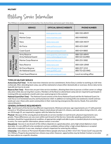# MILITARY

# Military Service Information

The Military is comprised of 12 branches: five Active Duty and seven part-time duty.

|                                                 | <b>SERVICE</b>                                        | <b>OFFICIAL SERVICE WEBSITE</b>                 | <b>PHONE NUMBER</b>           |
|-------------------------------------------------|-------------------------------------------------------|-------------------------------------------------|-------------------------------|
|                                                 | Army                                                  | www.goarmy.com                                  | 800-550-ARMY                  |
|                                                 | Marine Corps                                          | www.marines.com                                 | 800-MARINES                   |
| CTIVE DUT<br>(Full Time)                        | Navy                                                  | www.navy.com                                    | 800-USA-NAVY                  |
|                                                 | Air Force                                             | www.airforce.com                                | 800-423-USAF                  |
|                                                 | Coast Guard                                           | www.gocoastguard.com                            | 800-424-8883                  |
|                                                 | <b>Army Reserve</b><br><b>Army National Guard</b>     | www.goarmy.com/reserve<br>www.nationalguard.com | 888-550-ARMY<br>800-GO-GUARD  |
|                                                 | Marine Corps Reserve                                  | www.marines.com                                 | 800-255-5082                  |
| NATIONAL GUARD<br>(Part Time)<br><b>RESERVE</b> | Navy Reserve                                          | www.navy.com                                    | 800-USA-USNR                  |
|                                                 | <b>Air Force Reserve</b><br><b>Air National Guard</b> | www.afreserve.com<br>www.goANG.com              | 800-257-1212<br>800-TO-GO-ANG |
|                                                 | <b>Coast Guard Reserve</b>                            | www.gocoastguard.com                            | Local recruiting office       |

# TYPES OF MILITARY SERVICE

Active Duty (Full Time) – As the most time-intensive service commitment, Active Duty is similar to working at a full-time civilian job. After attending boot camp, you will be stationed at a base either domestically or overseas. Active-duty terms typically last two to six year.

Reserve (Part Time) – Reservists are part-time service members, allowing them time to pursue a civilian career or college education while also serving their country. Members of the Reserve attend boot camp and are required to participate in training drills one weekend a month and a two-week program in the summer.

National Guard (Part Time) – The National Guard consists of the Army National Guard and the Air National Guard. Its main focus is on homeland security and humanitarian relief. In addition to training drills one weekend a month and two weeks per year, these units assist communities in their state during emergencies like storms, floods, fires and other natural disasters.

# GENERAL ENTRANCE REQUIREMENTS

Age - Each branch of the Service has different requirements. Minimum entrance-age requirements are 17 with parental consent or 18 without parental consent. Keep in mind almost all male U.S. citizens, and male aliens living in the U.S., who are 18 through 25, are required to register with the Selective Service.

Physical - Because of the varying physical demands on service members in each branch, physical requirements vary greatly. These differences can vary even within each branch of the Service. Generally speaking, potential service members should be in good physical condition, of appropriate weight and able to pass a standard physical screening prior to entry. For more specific information, please contact a recruiter.

Educational - Success in any branch of the military depends on a good education, and a high school diploma is most desirable. It is very difficult to be considered a serious candidate without either a high school diploma or accepted alternative credential. In any case, staying in school is important for entering the military.

Citizenship - U.S. citizens or Permanent Resident Aliens (people who have an INS I-151/I-551 "Green Card") may join the U.S. Military. Properly documented non-citizens may enlist. However, opportunities may be limited. Contact a recruiter for more advice on a specific situation.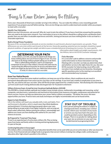#### MILITARY

Things to Know Before Joining the Military

Every year, thousands of Americans consider serving in the military. You can make the military a very rewarding growth experience if you prepare yourself before joining. Here are ten things you need to understand and consider while you prepare to meet with a recruiter:

#### Identify Your Motivation

Before you start this process, ask yourself: Why do I want to join the military? If you have a hard time answering this question, then you need to do some more research. Your motivation to serve in the military should be a calling to join a profession that's greater than you and offers invaluable experiences and skills. Joining just because you have nothing better to do can lead to a miserable experience.

#### Build a Strong Fitness Foundation

Because of the varying physical demands on service members in each branch, physical requirements vary greatly. These differences can vary even within each branch of the Service. Generally speaking, potential service members should be in good physical condition, of appropriate weight and able to pass a standard physical screening prior to entry. For more specific

# Determine Your Path

In the military, as in life, you may be asked to do things you know nothing about, but you'll have to figure it out. You may also have to do things without people telling you to do them. That is called taking initiative, and it's an important component of service in the military. Practice this skill now by researching the different branches of service and determine which one might be the best fit for you. With that information in mind, it's time to talk to a recruiter.

information about height and weight requirements, visit the Military tab on the SCHS Counselor webpage.

#### Find a Recruiter

It is a recruiter's job to address concerns and provide useful information to those interested in serving. Meeting with a recruiter can help you determine what and whether service is the right choice for you. See your SCHS counselor for help locating a local office with recruiters from multiple service branches. Developing specific questions prior to the meeting is an excellent and recommended way to prepare.

#### Know Your Medical Records

It's important to know that some medical conditions can keep you out of the military. Most conditions do not result in permanent disqualification from active service, but they can be red flags. If you have had a medical complication at any time in your life, you need to tell your recruiter. S/he will file the proper paperwork for a medical waiver. Not disclosing this information up front could result in being dishonorably discharged later for fraudulent enlistment.

#### Military Entrance Exam: Armed Services Vocational Aptitude Battery (ASVAB)

The ASVAB is a timed multiple-aptitude test (subject areas include science, mathematics knowledge and reasoning, verbal composite, and electronics, automotive and mechanical information) that measures strengths, weaknesses and potential for future success. Scores can help you determine your career field or military occupation. The better the score, the more opportunities you have. Practice tests and study techniques are highly recommended and can be found online.

#### Expect to Gain Discipline

Life in the military will teach you valuable skills, traits and habits. First and foremost is discipline, which is much more than blind obedience and punishment. It involves placing group goals above your own, being willing to accept orders from higher authority, and carrying out those orders effectively. Before joining the military, acknowledge and address any issues you have dealing with authority for your best chance at success.

#### Be Prepared for Travel and Time Away

Travel is an expected part of active duty military life. Plan on being away from home and family while in training and during deployment; it's part of the job.

#### Continuing Education is Encouraged

Stay Out of Trouble

Every person joining the military is subject to a background check, including your criminal records. Inform your recruiters of any issues or arrests you may have had in the past; you could be granted a waiver depending on the charges. There is no penalty for talking about your past, but an omission on your part may be detrimental to progressing further.

The military offers a tremendous array of education benefits that can be used while you are on active duty or after you leave the service. From financial aid and college funds to programs that convert military training into college credit, continuing your education after high school is possible in the military.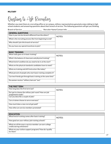#### MILITARY

# Questions to Ask Recruiters

Whether you meet them at a recruiting office or on campus, military representatives genuinely enjoy talking to high school students and answering questions about their branch of service. The following questions will get you thinking.

Branch of Service: \_\_\_\_\_\_\_\_\_\_\_\_\_\_\_\_\_\_\_\_\_\_\_\_\_\_\_ Recruiter Name/Contact Info: \_\_\_\_\_\_\_\_\_\_\_\_\_\_\_\_\_\_\_\_\_\_\_\_\_\_\_\_\_\_\_\_\_\_\_\_\_\_\_\_\_\_\_\_\_\_\_\_\_\_\_

| <b>GENERAL QUESTIONS</b>                                   |        |
|------------------------------------------------------------|--------|
| How is your service branch different from the others?      | NOTES: |
| What is the recruiting process like from beginning to end? |        |
| Why should I join this branch of service?                  |        |
| Do you have any special incentives to join?                |        |

| <b>BASIC TRAINING</b>                                        |               |
|--------------------------------------------------------------|---------------|
| What really goes on in basic training?                       | <b>NOTES:</b> |
| What's the balance of classroom and physical training?       |               |
| What kind of condition do you need to be in at the start?    |               |
| What are the physical standards candidates have to meet?     |               |
| What are training and drill instructors like today?          |               |
| What percent of people who start basic training complete it? |               |
| Can two friends got through basic training at the same time? |               |
| Do women receive "military haircuts" too?                    |               |

| <b>THE FIRST TERM</b>                                                        |        |
|------------------------------------------------------------------------------|--------|
| How long does the first term last?                                           | NOTES: |
| Do I get to choose the military job I want? How are job<br>assignments made? |        |
| Can you describe a couple of jobs?                                           |        |
| Can a trainee choose to serve overseas?                                      |        |
| How much does a new recruit get paid?                                        |        |
| How often are service members promoted?                                      |        |

| <b>EDUCATION</b>                                                                      |               |
|---------------------------------------------------------------------------------------|---------------|
| What kind of training comes after basic training?                                     | <b>NOTES:</b> |
| How good are your military job-training schools?                                      |               |
| What are all the ways a service member can earn college<br>credits during enlistment? |               |
| What are your tuition support programs? How do I qualify<br>for them?                 |               |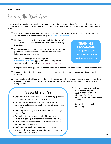#### EMPLOYMENT

Entering the Work Force

If you've made the decision to go right to work after graduation, congratulations! There are endless opportunities out there waiting for you. Here are some tips to consider as you prepare for and endure the interview process. Good luck!

- $\Box$  Decide what type of work you would like to pursue for a closer look at job areas that are growing rapidly and have seen an increase in demand, go t[o www.mynextmove.org.](http://www.mynextmove.org/)
- $\Box$  Need more training? Visit these helpful websites *(box at right)* to learn more about free and low-cost education and training programs.
- $\Box$  Find references to include on your résumé. Make sure you ask permission to share personal contact information before listing a person as a reference.
- $\Box$  Look for job openings and internships on [www.careerbuilder.com,](http://www.careerbuilder.com/) attend area career and job fairs, and search want ads and websites lik[e www.workintexas.com.](http://www.workintexas.com/)

# TRAINING **PROGRAMS**

[www.jobcorps.com](http://www.jobcorps.com/) [www.careeronestop.org](http://www.careeronestop.org/) [www.texasworkprep.com](http://www.texasworkprep.com/)

- $\Box$  Complete and submit applications. **Include a résumé** *(if you don't have one, see pg. 11 on how to build one.)*
- $\Box$  Prepare for interviews by researching potential employers. Be prepared to **ask 3 questions** during the interview.
- $\Box$  Interview. Before the big day, **plan** what you'll wear, **arrive** early, be prepared to pay for parking (cash) and bring extra copies of your résumé. Don't leave the interview without asking about the next steps in the hiring process.

# Interview Follow-Up Tips

- Don't harass your future employer with annoying questions ("Did I get the job?", "Did you make a decision?")
- Do check-in by calling within a week or ten days. Do continue to build rapport and sell your strengths during the phone call.
- Don't stop job hunting, even if you feel confident you'll get the job offer.
- Do continue following-up especially if the employer asks you to, but... **don't** go overboard or bother the employer.
- Do use other job offers as leverage in your follow-up to get the offer you really want.
- Don't place too much importance on one job or one interview; there will be other opportunities for you if your first one doesn't work out!
- $\Box$  Be sure to send a handwritten thank you note or professional email immediately after the interview. (Proofread for misspelled words or typos before sending.)
- $\Box$  If things drag out, check in periodically.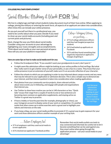## COLLEGE/MILITARY/EMPLOYMENT

# Social Media: Making it Work FOR You!

We live in a digital age and high school students today document much of their lives online. When applying to college, joining the military or entering the work force, all aspects of an applicant are taken into consideration; often times this can include your online presence.

As you put yourself out there in a professional way, you need to be careful about what you post. Decide if you need to clean up your social media accounts (including past and current posts and pictures).

Next, change the way you think about social media. Consider using your accounts to your advantage by highlighting your many strengths and accomplishments. Think about social media as your own personal ad space: How will you use your platform responsibly?

# Here are some tips on how to make social media work for you:

# College Admissions Officers are searching…

- 27 % of college admissions officers said they had Googled prospective students
- 26 % had looked up applicants on Facebook
- 35 % said they found something that negatively impacted an applicant's changes of getting in
- Follow the Grandparent Rule: "If you wouldn't want your grandparents to see it, don't post it."
- It might seem like admissions officers might be looking at your online profiles to find red flags. But what they really want is to get a better sense of your personality, or put a face to a name. They know that your online presence is just an extension of yourself; make sure it's an accurate reflection of your character.
- Follow the schools to which you are applying in order to stay informed about campus events and any news that may be relevant to your application or admission decision. This is also a simple way to demonstrate your interest, and that interest quotient is taken into consideration when reading applications.
- Post photos from your community service projects, share relevant articles about news events you're following, and engage with people and organizations that interest you.
- Use Twitter to show how creative you can be in 140 characters or less. "Quick take" essays that range from a couple of words to one or two sentences are becoming more common on application supplements, and staying active on Twitter is a great way to practice.
- If have a hobby or favorite past time (for example, photography or chess), use your Instagram account to display some of your work or competition. It's another outlet that often comes up in online searches and is a great tool to highlight your talents and interests on the web.

Just because admissions officers are looking at your online profiles doesn't mean they're searching for red flags.

• If you keep a blog, use your social media profiles to promote it! It's a great way to gain exposure for your work and show admissions officers another example of your writing style.

# …Future Employers too!

- 37 % of employers said they used social media to screen applicants
- 65 % checked out applicants' Facebook profiles

Remember that social media outlets are tools to stay connected and informed; be careful not to let it become something that can be used against you. Stay smart online when going through the application process – use your social media to your advantage!